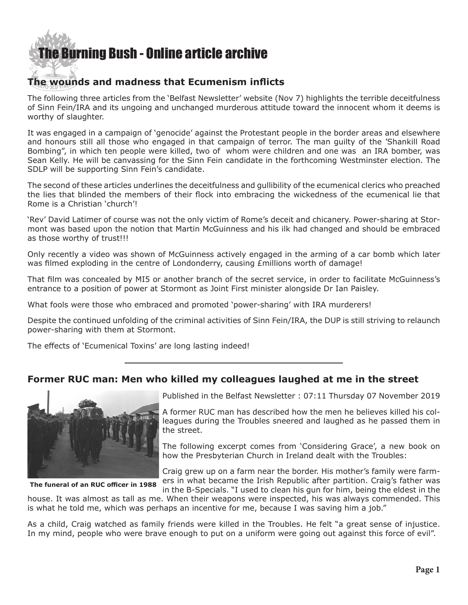## [The Burning Bush - Online article archive](http://www.ivanfoster.net)

### **The wounds and madness that Ecumenism inflicts**

The following three articles from the 'Belfast Newsletter' website (Nov 7) highlights the terrible deceitfulness of Sinn Fein/IRA and its ungoing and unchanged murderous attitude toward the innocent whom it deems is worthy of slaughter.

It was engaged in a campaign of 'genocide' against the Protestant people in the border areas and elsewhere and honours still all those who engaged in that campaign of terror. The man guilty of the 'Shankill Road Bombing", in which ten people were killed, two of whom were children and one was an IRA bomber, was Sean Kelly. He will be canvassing for the Sinn Fein candidate in the forthcoming Westminster election. The SDLP will be supporting Sinn Fein's candidate.

The second of these articles underlines the deceitfulness and gullibility of the ecumenical clerics who preached the lies that blinded the members of their flock into embracing the wickedness of the ecumenical lie that Rome is a Christian 'church'!

'Rev' David Latimer of course was not the only victim of Rome's deceit and chicanery. Power-sharing at Stormont was based upon the notion that Martin McGuinness and his ilk had changed and should be embraced as those worthy of trust!!!

Only recently a video was shown of McGuinness actively engaged in the arming of a car bomb which later was filmed exploding in the centre of Londonderry, causing £millions worth of damage!

That film was concealed by MI5 or another branch of the secret service, in order to facilitate McGuinness's entrance to a position of power at Stormont as Joint First minister alongside Dr Ian Paisley.

What fools were those who embraced and promoted 'power-sharing' with IRA murderers!

Despite the continued unfolding of the criminal activities of Sinn Fein/IRA, the DUP is still striving to relaunch power-sharing with them at Stormont.

The effects of 'Ecumenical Toxins' are long lasting indeed!

#### **Former RUC man: Men who killed my colleagues laughed at me in the street**



**The funeral of an RUC officer in 1988**

Published in the Belfast Newsletter : 07:11 Thursday 07 November 2019

A former RUC man has described how the men he believes killed his colleagues during the Troubles sneered and laughed as he passed them in the street.

The following excerpt comes from 'Considering Grace', a new book on how the Presbyterian Church in Ireland dealt with the Troubles:

Craig grew up on a farm near the border. His mother's family were farmers in what became the Irish Republic after partition. Craig's father was in the B-Specials. "I used to clean his gun for him, being the eldest in the

house. It was almost as tall as me. When their weapons were inspected, his was always commended. This is what he told me, which was perhaps an incentive for me, because I was saving him a job."

As a child, Craig watched as family friends were killed in the Troubles. He felt "a great sense of injustice. In my mind, people who were brave enough to put on a uniform were going out against this force of evil".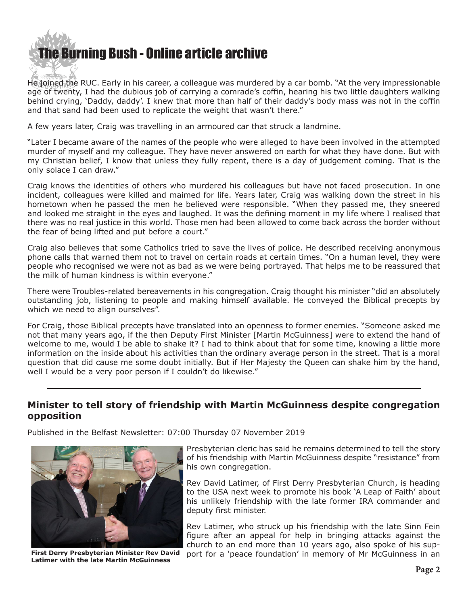

He joined the RUC. Early in his career, a colleague was murdered by a car bomb. "At the very impressionable age of twenty, I had the dubious job of carrying a comrade's coffin, hearing his two little daughters walking behind crying, 'Daddy, daddy'. I knew that more than half of their daddy's body mass was not in the coffin and that sand had been used to replicate the weight that wasn't there."

A few years later, Craig was travelling in an armoured car that struck a landmine.

"Later I became aware of the names of the people who were alleged to have been involved in the attempted murder of myself and my colleague. They have never answered on earth for what they have done. But with my Christian belief, I know that unless they fully repent, there is a day of judgement coming. That is the only solace I can draw."

Craig knows the identities of others who murdered his colleagues but have not faced prosecution. In one incident, colleagues were killed and maimed for life. Years later, Craig was walking down the street in his hometown when he passed the men he believed were responsible. "When they passed me, they sneered and looked me straight in the eyes and laughed. It was the defining moment in my life where I realised that there was no real justice in this world. Those men had been allowed to come back across the border without the fear of being lifted and put before a court."

Craig also believes that some Catholics tried to save the lives of police. He described receiving anonymous phone calls that warned them not to travel on certain roads at certain times. "On a human level, they were people who recognised we were not as bad as we were being portrayed. That helps me to be reassured that the milk of human kindness is within everyone."

There were Troubles-related bereavements in his congregation. Craig thought his minister "did an absolutely outstanding job, listening to people and making himself available. He conveyed the Biblical precepts by which we need to align ourselves".

For Craig, those Biblical precepts have translated into an openness to former enemies. "Someone asked me not that many years ago, if the then Deputy First Minister [Martin McGuinness] were to extend the hand of welcome to me, would I be able to shake it? I had to think about that for some time, knowing a little more information on the inside about his activities than the ordinary average person in the street. That is a moral question that did cause me some doubt initially. But if Her Majesty the Queen can shake him by the hand, well I would be a very poor person if I couldn't do likewise."

#### **Minister to tell story of friendship with Martin McGuinness despite congregation opposition**

Published in the Belfast Newsletter: 07:00 Thursday 07 November 2019



Presbyterian cleric has said he remains determined to tell the story of his friendship with Martin McGuinness despite "resistance" from his own congregation.

Rev David Latimer, of First Derry Presbyterian Church, is heading to the USA next week to promote his book 'A Leap of Faith' about his unlikely friendship with the late former IRA commander and deputy first minister.

Rev Latimer, who struck up his friendship with the late Sinn Fein figure after an appeal for help in bringing attacks against the church to an end more than 10 years ago, also spoke of his sup- First Derry Presbyterian Minister Rev David port for a `peace foundation' in memory of Mr McGuinness in an **Latimer with the late Martin McGuinnes**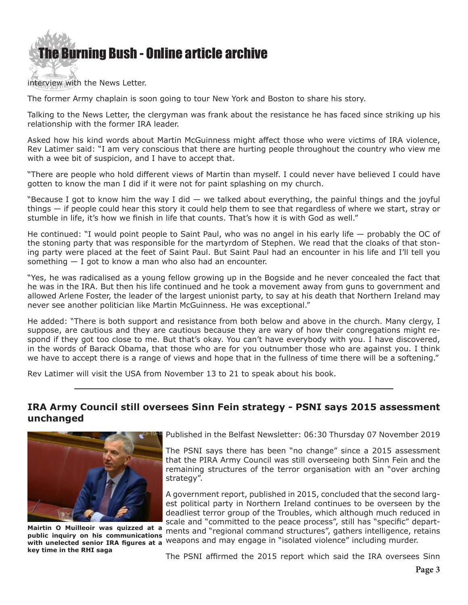

interview with the News Letter.

The former Army chaplain is soon going to tour New York and Boston to share his story.

Talking to the News Letter, the clergyman was frank about the resistance he has faced since striking up his relationship with the former IRA leader.

Asked how his kind words about Martin McGuinness might affect those who were victims of IRA violence, Rev Latimer said: "I am very conscious that there are hurting people throughout the country who view me with a wee bit of suspicion, and I have to accept that.

"There are people who hold different views of Martin than myself. I could never have believed I could have gotten to know the man I did if it were not for paint splashing on my church.

"Because I got to know him the way I did  $-$  we talked about everything, the painful things and the joyful things — if people could hear this story it could help them to see that regardless of where we start, stray or stumble in life, it's how we finish in life that counts. That's how it is with God as well."

He continued: "I would point people to Saint Paul, who was no angel in his early life — probably the OC of the stoning party that was responsible for the martyrdom of Stephen. We read that the cloaks of that stoning party were placed at the feet of Saint Paul. But Saint Paul had an encounter in his life and I'll tell you something  $-$  I got to know a man who also had an encounter.

"Yes, he was radicalised as a young fellow growing up in the Bogside and he never concealed the fact that he was in the IRA. But then his life continued and he took a movement away from guns to government and allowed Arlene Foster, the leader of the largest unionist party, to say at his death that Northern Ireland may never see another politician like Martin McGuinness. He was exceptional."

He added: "There is both support and resistance from both below and above in the church. Many clergy, I suppose, are cautious and they are cautious because they are wary of how their congregations might respond if they got too close to me. But that's okay. You can't have everybody with you. I have discovered, in the words of Barack Obama, that those who are for you outnumber those who are against you. I think we have to accept there is a range of views and hope that in the fullness of time there will be a softening."

Rev Latimer will visit the USA from November 13 to 21 to speak about his book.

#### **IRA Army Council still oversees Sinn Fein strategy - PSNI says 2015 assessment unchanged**



with unelected senior IRA figures at a <sup>Weapons</sup> and may engage in "isolated violence" including murder. **Mairtin O Muilleoir was quizzed at a public inquiry on his communications key time in the RHI saga**

Published in the Belfast Newsletter: 06:30 Thursday 07 November 2019

The PSNI says there has been "no change" since a 2015 assessment that the PIRA Army Council was still overseeing both Sinn Fein and the remaining structures of the terror organisation with an "over arching strategy".

A government report, published in 2015, concluded that the second largest political party in Northern Ireland continues to be overseen by the deadliest terror group of the Troubles, which although much reduced in scale and "committed to the peace process", still has "specific" departments and "regional command structures", gathers intelligence, retains

The PSNI affirmed the 2015 report which said the IRA oversees Sinn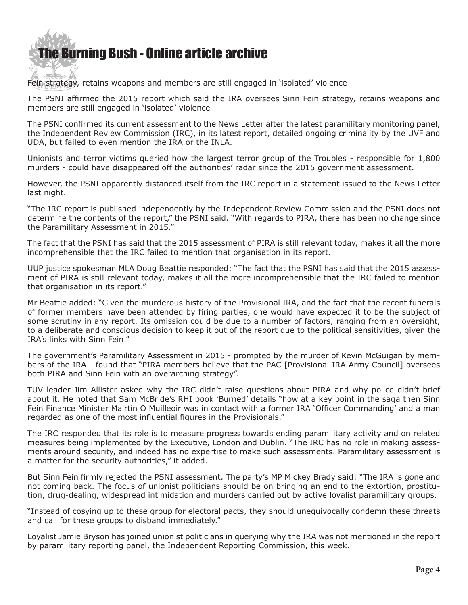# [The Bur](http://www.ivanfoster.net)ning Bush - Online article archive

Fein strategy, retains weapons and members are still engaged in 'isolated' violence

The PSNI affirmed the 2015 report which said the IRA oversees Sinn Fein strategy, retains weapons and members are still engaged in 'isolated' violence

The PSNI confirmed its current assessment to the News Letter after the latest paramilitary monitoring panel, the Independent Review Commission (IRC), in its latest report, detailed ongoing criminality by the UVF and UDA, but failed to even mention the IRA or the INLA.

Unionists and terror victims queried how the largest terror group of the Troubles - responsible for 1,800 murders - could have disappeared off the authorities' radar since the 2015 government assessment.

However, the PSNI apparently distanced itself from the IRC report in a statement issued to the News Letter last night.

"The IRC report is published independently by the Independent Review Commission and the PSNI does not determine the contents of the report," the PSNI said. "With regards to PIRA, there has been no change since the Paramilitary Assessment in 2015."

The fact that the PSNI has said that the 2015 assessment of PIRA is still relevant today, makes it all the more incomprehensible that the IRC failed to mention that organisation in its report.

UUP justice spokesman MLA Doug Beattie responded: "The fact that the PSNI has said that the 2015 assessment of PIRA is still relevant today, makes it all the more incomprehensible that the IRC failed to mention that organisation in its report."

Mr Beattie added: "Given the murderous history of the Provisional IRA, and the fact that the recent funerals of former members have been attended by firing parties, one would have expected it to be the subject of some scrutiny in any report. Its omission could be due to a number of factors, ranging from an oversight, to a deliberate and conscious decision to keep it out of the report due to the political sensitivities, given the IRA's links with Sinn Fein."

The government's Paramilitary Assessment in 2015 - prompted by the murder of Kevin McGuigan by members of the IRA - found that "PIRA members believe that the PAC [Provisional IRA Army Council] oversees both PIRA and Sinn Fein with an overarching strategy".

TUV leader Jim Allister asked why the IRC didn't raise questions about PIRA and why police didn't brief about it. He noted that Sam McBride's RHI book 'Burned' details "how at a key point in the saga then Sinn Fein Finance Minister Mairtín O Muilleoir was in contact with a former IRA 'Officer Commanding' and a man regarded as one of the most influential figures in the Provisionals."

The IRC responded that its role is to measure progress towards ending paramilitary activity and on related measures being implemented by the Executive, London and Dublin. "The IRC has no role in making assessments around security, and indeed has no expertise to make such assessments. Paramilitary assessment is a matter for the security authorities," it added.

But Sinn Fein firmly rejected the PSNI assessment. The party's MP Mickey Brady said: "The IRA is gone and not coming back. The focus of unionist politicians should be on bringing an end to the extortion, prostitution, drug-dealing, widespread intimidation and murders carried out by active loyalist paramilitary groups.

"Instead of cosying up to these group for electoral pacts, they should unequivocally condemn these threats and call for these groups to disband immediately."

Loyalist Jamie Bryson has joined unionist politicians in querying why the IRA was not mentioned in the report by paramilitary reporting panel, the Independent Reporting Commission, this week.